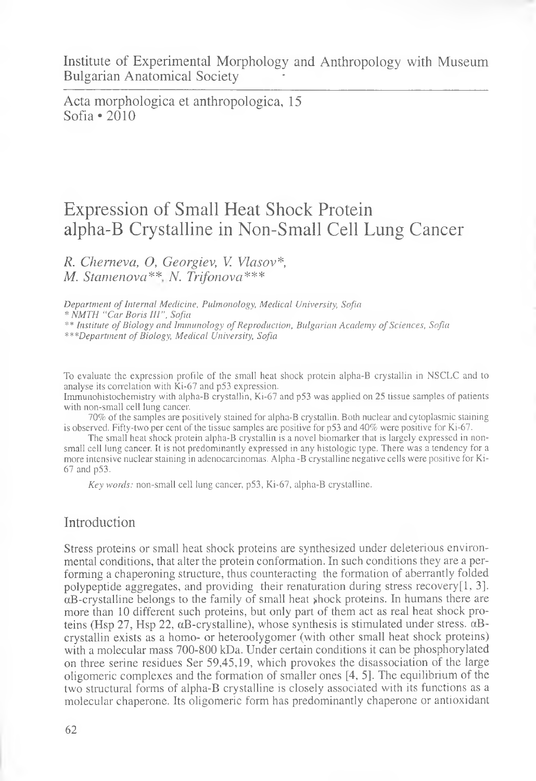Acta morphologica et anthropologica, 15 Sofia \*2010

# Expression of Small Heat Shock Protein alpha-B Crystalline in Non-Small Cell Lung Cancer

*R. Cherneva, O, Georgiev, V. Vlasov\*, M. Stamenova*\*\* *N. Trifonova\*\*\**

*Department of Internal Medicine, Pulmonology, Medical University, Sofia* \* *NMTH "Car Boris* ///", *Sofia* \*\* *Institute of Biology and Immunology of Reproduction, Bulgarian Academy of Sciences, Sofia \*\*\*Department of Biology, Medical University, Sofia*

To evaluate the expression profile of the small heat shock protein alpha-B crystallin in NSCLC and to analyse its correlation with Ki-67 and p53 expression.

Immunohistochemistry with aipha-B crystallin, Ki-67 and p53 was applied on 25 tissue samples of patients with non-small cell lung cancer.

70% of the samples are positively stained for alpha-B crystallin. Both nuclear and cytoplasmic staining is observed. Fifty-two per cent of the tissue samples are positive for p53 and 40% were positive for Ki-67.

The small heat shock protein alpha-B crystallin is a novel biomarker that is largely expressed in nonsmall cell lung cancer. It is not predominantly expressed in any histologic type. There was a tendency for a more intensive nuclear staining in adenocarcinomas. Alpha -B crystalline negative cells were positive for Ki-67 and p53.

*Key words:* non-small cell lung cancer, p53, Ki-67, alpha-B crystalline.

#### Introduction

Stress proteins or small heat shock proteins are synthesized under deleterious environmental conditions, that alter the protein conformation. In such conditions they are a performing a chaperoning structure, thus counteracting the formation of aberrantly folded polypeptide aggregates, and providing their renaturation during stress recovery $[1, 3]$ .  $\alpha$ B-crystalline belongs to the family of small heat shock proteins. In humans there are more than 10 different such proteins, but only part of them act as real heat shock proteins (Hsp 27, Hsp 22,  $\alpha$ B-crystalline), whose synthesis is stimulated under stress.  $\alpha$ Bcrystallin exists as a homo- or heteroolygomer (with other small heat shock proteins) with a molecular mass 700-800 kDa. Under certain conditions it can be phosphorylated on three serine residues Ser 59,45,19, which provokes the disassociation of the large oligomeric complexes and the formation of smaller ones [4, 5]. The equilibrium of the two structural forms of alpha-B crystalline is closely associated with its functions as a molecular chaperone. Its oligomeric form has predominantly chaperone or antioxidant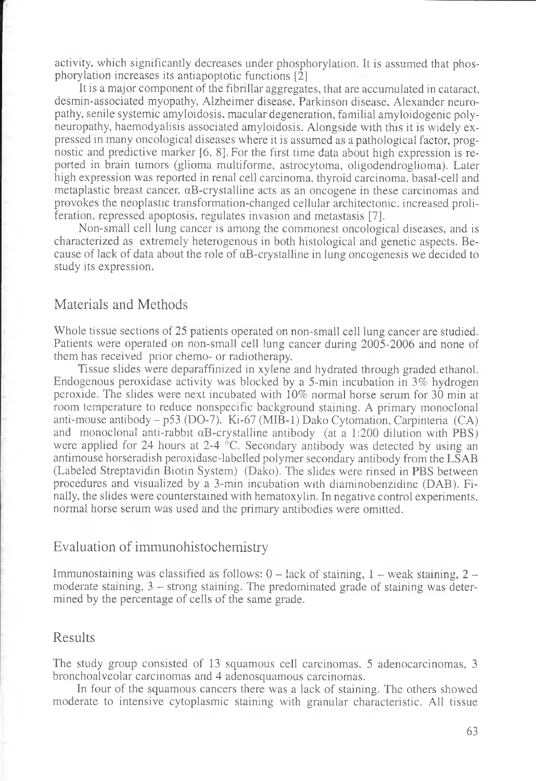activity, which significantly decreases under phosphorylation. It is assumed that phosphorylation increases its antiapoptotic functions [2]

It is a major component of the fibrillar aggregates, that are accumulated in cataract, desmin-associated myopathy, Alzheimer disease, Parkinson disease, Alexander neuropathy, senile systemic amyloidosis, macular degeneration, familial amyloidogenic polyneuropathy, haemodyalisis associated amyloidosis. Alongside with this it is widely expressed in many oncological diseases where it is assumed as a pathological factor, prognostic and predictive marker [6, 8]. For the first time data about high expression is reported in brain tumors (glioma multiforme, astrocytoma, oligodendroglioma). Later high expression was reported in renal cell carcinoma, thyroid carcinoma, basal-cell and metaplastic breast cancer. aB-crystalline acts as an oncogene in these carcinomas and provokes the neoplastic transformation-changed cellular architectonic, increased proliferation, repressed apoptosis, regulates invasion and metastasis [7].

Non-small cell lung cancer is among the commonest oncological diseases, and is characterized as extremely heterogenous in both histological and genetic aspects. Because of lack of data about the role of  $\alpha$ B-crystalline in lung oncogenesis we decided to study its expression.

### Materials and Methods

Whole tissue sections of 25 patients operated on non-small cell lung cancer are studied. Patients were operated on non-small cell lung cancer during 2005-2006 and none of them has received prior chemo- or radiotherapy.

Tissue slides were deparaffinized in xylene and hydrated through graded ethanol. Endogenous peroxidase activity was blocked by a 5-min incubation in 3% hydrogen peroxide. The slides were next incubated with 10% normal horse serum for 30 min at room temperature to reduce nonspecific background staining. A primary monoclonal anti-mouse antibody  $-$  p53 (DO-7). Ki-67 (MIB-1) Dako Cytomation, Carpinteria (CA) and monoclonal anti-rabbit aB-crystalline antibody (at a 1:200 dilution with PBS) were applied for 24 hours at 2-4  $\degree$ C. Secondary antibody was detected by using an antimouse horseradish peroxidase-labelled polymer secondary antibody from the LSAB (Labeled Streptavidin Biotin System) (Dako). The slides were rinsed in PBS between procedures and visualized by a 3-min incubation with diaminobenzidine (DAB). Finally, the slides were counterstained with hematoxylin. In negative control experiments, normal horse serum was used and the primary antibodies were omitted.

### Evaluation of immunohistochemistry

Immunostaining was classified as follows:  $0 -$ lack of staining,  $1 -$ weak staining,  $2$ moderate staining, 3 - strong staining. The predominated grade of staining was determined by the percentage of cells of the same grade.

### Results

The study group consisted of 13 squamous cell carcinomas, 5 adenocarcinomas, 3 bronchoalveolar carcinomas and 4 adenosquamous carcinomas.

In four of the squamous cancers there was a lack of staining. The others showed moderate to intensive cytoplasmic staining with granular characteristic. All tissue